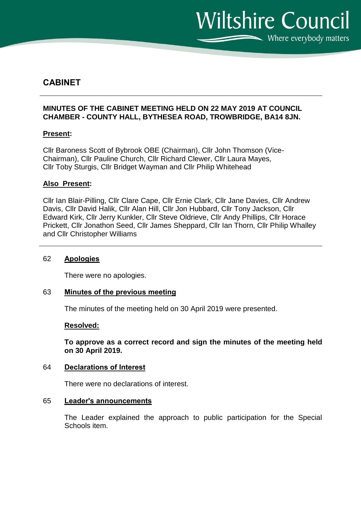**Wiltshire Council** Where everybody matters

# **CABINET**

# **MINUTES OF THE CABINET MEETING HELD ON 22 MAY 2019 AT COUNCIL CHAMBER - COUNTY HALL, BYTHESEA ROAD, TROWBRIDGE, BA14 8JN.**

## **Present:**

Cllr Baroness Scott of Bybrook OBE (Chairman), Cllr John Thomson (Vice-Chairman), Cllr Pauline Church, Cllr Richard Clewer, Cllr Laura Mayes, Cllr Toby Sturgis, Cllr Bridget Wayman and Cllr Philip Whitehead

## **Also Present:**

Cllr Ian Blair-Pilling, Cllr Clare Cape, Cllr Ernie Clark, Cllr Jane Davies, Cllr Andrew Davis, Cllr David Halik, Cllr Alan Hill, Cllr Jon Hubbard, Cllr Tony Jackson, Cllr Edward Kirk, Cllr Jerry Kunkler, Cllr Steve Oldrieve, Cllr Andy Phillips, Cllr Horace Prickett, Cllr Jonathon Seed, Cllr James Sheppard, Cllr Ian Thorn, Cllr Philip Whalley and Cllr Christopher Williams

#### 62 **Apologies**

There were no apologies.

## 63 **Minutes of the previous meeting**

The minutes of the meeting held on 30 April 2019 were presented.

#### **Resolved:**

**To approve as a correct record and sign the minutes of the meeting held on 30 April 2019.**

#### 64 **Declarations of Interest**

There were no declarations of interest.

#### 65 **Leader's announcements**

The Leader explained the approach to public participation for the Special Schools item.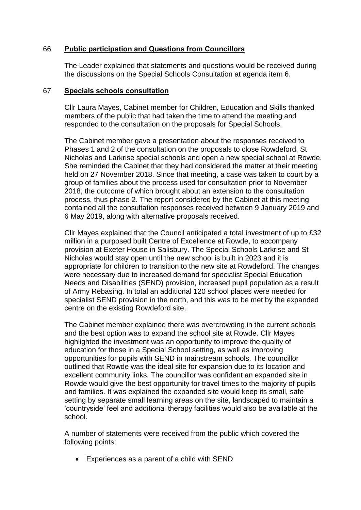# 66 **Public participation and Questions from Councillors**

The Leader explained that statements and questions would be received during the discussions on the Special Schools Consultation at agenda item 6.

### 67 **Specials schools consultation**

Cllr Laura Mayes, Cabinet member for Children, Education and Skills thanked members of the public that had taken the time to attend the meeting and responded to the consultation on the proposals for Special Schools.

The Cabinet member gave a presentation about the responses received to Phases 1 and 2 of the consultation on the proposals to close Rowdeford, St Nicholas and Larkrise special schools and open a new special school at Rowde. She reminded the Cabinet that they had considered the matter at their meeting held on 27 November 2018. Since that meeting, a case was taken to court by a group of families about the process used for consultation prior to November 2018, the outcome of which brought about an extension to the consultation process, thus phase 2. The report considered by the Cabinet at this meeting contained all the consultation responses received between 9 January 2019 and 6 May 2019, along with alternative proposals received.

Cllr Mayes explained that the Council anticipated a total investment of up to £32 million in a purposed built Centre of Excellence at Rowde, to accompany provision at Exeter House in Salisbury. The Special Schools Larkrise and St Nicholas would stay open until the new school is built in 2023 and it is appropriate for children to transition to the new site at Rowdeford. The changes were necessary due to increased demand for specialist Special Education Needs and Disabilities (SEND) provision, increased pupil population as a result of Army Rebasing. In total an additional 120 school places were needed for specialist SEND provision in the north, and this was to be met by the expanded centre on the existing Rowdeford site.

The Cabinet member explained there was overcrowding in the current schools and the best option was to expand the school site at Rowde. Cllr Mayes highlighted the investment was an opportunity to improve the quality of education for those in a Special School setting, as well as improving opportunities for pupils with SEND in mainstream schools. The councillor outlined that Rowde was the ideal site for expansion due to its location and excellent community links. The councillor was confident an expanded site in Rowde would give the best opportunity for travel times to the majority of pupils and families. It was explained the expanded site would keep its small, safe setting by separate small learning areas on the site, landscaped to maintain a 'countryside' feel and additional therapy facilities would also be available at the school.

A number of statements were received from the public which covered the following points:

Experiences as a parent of a child with SEND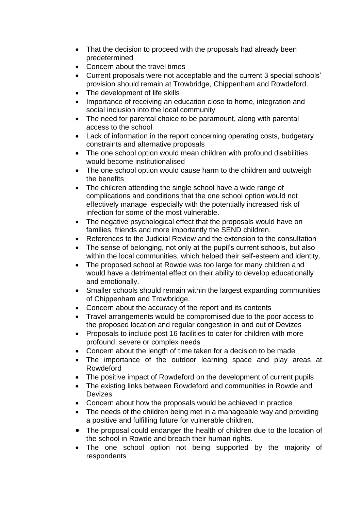- That the decision to proceed with the proposals had already been predetermined
- Concern about the travel times
- Current proposals were not acceptable and the current 3 special schools' provision should remain at Trowbridge, Chippenham and Rowdeford.
- The development of life skills
- Importance of receiving an education close to home, integration and social inclusion into the local community
- The need for parental choice to be paramount, along with parental access to the school
- Lack of information in the report concerning operating costs, budgetary constraints and alternative proposals
- The one school option would mean children with profound disabilities would become institutionalised
- The one school option would cause harm to the children and outweigh the benefits
- The children attending the single school have a wide range of complications and conditions that the one school option would not effectively manage, especially with the potentially increased risk of infection for some of the most vulnerable.
- The negative psychological effect that the proposals would have on families, friends and more importantly the SEND children.
- References to the Judicial Review and the extension to the consultation
- The sense of belonging, not only at the pupil's current schools, but also within the local communities, which helped their self-esteem and identity.
- The proposed school at Rowde was too large for many children and would have a detrimental effect on their ability to develop educationally and emotionally.
- Smaller schools should remain within the largest expanding communities of Chippenham and Trowbridge.
- Concern about the accuracy of the report and its contents
- Travel arrangements would be compromised due to the poor access to the proposed location and regular congestion in and out of Devizes
- Proposals to include post 16 facilities to cater for children with more profound, severe or complex needs
- Concern about the length of time taken for a decision to be made
- The importance of the outdoor learning space and play areas at Rowdeford
- The positive impact of Rowdeford on the development of current pupils
- The existing links between Rowdeford and communities in Rowde and Devizes
- Concern about how the proposals would be achieved in practice
- The needs of the children being met in a manageable way and providing a positive and fulfilling future for vulnerable children.
- The proposal could endanger the health of children due to the location of the school in Rowde and breach their human rights.
- The one school option not being supported by the majority of respondents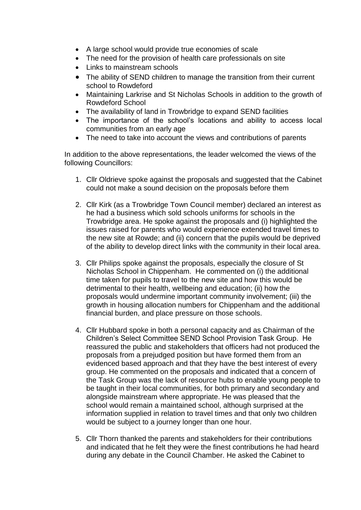- A large school would provide true economies of scale
- The need for the provision of health care professionals on site
- Links to mainstream schools
- The ability of SEND children to manage the transition from their current school to Rowdeford
- Maintaining Larkrise and St Nicholas Schools in addition to the growth of Rowdeford School
- The availability of land in Trowbridge to expand SEND facilities
- The importance of the school's locations and ability to access local communities from an early age
- The need to take into account the views and contributions of parents

In addition to the above representations, the leader welcomed the views of the following Councillors:

- 1. Cllr Oldrieve spoke against the proposals and suggested that the Cabinet could not make a sound decision on the proposals before them
- 2. Cllr Kirk (as a Trowbridge Town Council member) declared an interest as he had a business which sold schools uniforms for schools in the Trowbridge area. He spoke against the proposals and (i) highlighted the issues raised for parents who would experience extended travel times to the new site at Rowde; and (ii) concern that the pupils would be deprived of the ability to develop direct links with the community in their local area.
- 3. Cllr Philips spoke against the proposals, especially the closure of St Nicholas School in Chippenham. He commented on (i) the additional time taken for pupils to travel to the new site and how this would be detrimental to their health, wellbeing and education; (ii) how the proposals would undermine important community involvement; (iii) the growth in housing allocation numbers for Chippenham and the additional financial burden, and place pressure on those schools.
- 4. Cllr Hubbard spoke in both a personal capacity and as Chairman of the Children's Select Committee SEND School Provision Task Group. He reassured the public and stakeholders that officers had not produced the proposals from a prejudged position but have formed them from an evidenced based approach and that they have the best interest of every group. He commented on the proposals and indicated that a concern of the Task Group was the lack of resource hubs to enable young people to be taught in their local communities, for both primary and secondary and alongside mainstream where appropriate. He was pleased that the school would remain a maintained school, although surprised at the information supplied in relation to travel times and that only two children would be subject to a journey longer than one hour.
- 5. Cllr Thorn thanked the parents and stakeholders for their contributions and indicated that he felt they were the finest contributions he had heard during any debate in the Council Chamber. He asked the Cabinet to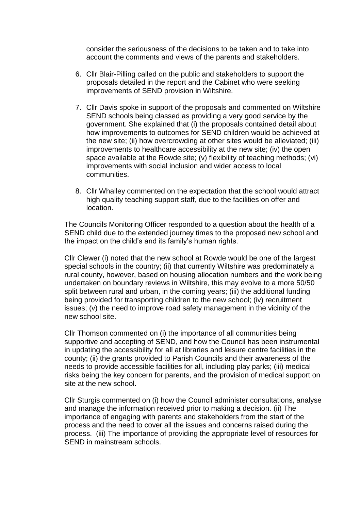consider the seriousness of the decisions to be taken and to take into account the comments and views of the parents and stakeholders.

- 6. Cllr Blair-Pilling called on the public and stakeholders to support the proposals detailed in the report and the Cabinet who were seeking improvements of SEND provision in Wiltshire.
- 7. Cllr Davis spoke in support of the proposals and commented on Wiltshire SEND schools being classed as providing a very good service by the government. She explained that (i) the proposals contained detail about how improvements to outcomes for SEND children would be achieved at the new site; (ii) how overcrowding at other sites would be alleviated; (iii) improvements to healthcare accessibility at the new site; (iv) the open space available at the Rowde site; (v) flexibility of teaching methods; (vi) improvements with social inclusion and wider access to local communities.
- 8. Cllr Whalley commented on the expectation that the school would attract high quality teaching support staff, due to the facilities on offer and location.

The Councils Monitoring Officer responded to a question about the health of a SEND child due to the extended journey times to the proposed new school and the impact on the child's and its family's human rights.

Cllr Clewer (i) noted that the new school at Rowde would be one of the largest special schools in the country; (ii) that currently Wiltshire was predominately a rural county, however, based on housing allocation numbers and the work being undertaken on boundary reviews in Wiltshire, this may evolve to a more 50/50 split between rural and urban, in the coming years; (iii) the additional funding being provided for transporting children to the new school; (iv) recruitment issues; (v) the need to improve road safety management in the vicinity of the new school site.

Cllr Thomson commented on (i) the importance of all communities being supportive and accepting of SEND, and how the Council has been instrumental in updating the accessibility for all at libraries and leisure centre facilities in the county; (ii) the grants provided to Parish Councils and their awareness of the needs to provide accessible facilities for all, including play parks; (iii) medical risks being the key concern for parents, and the provision of medical support on site at the new school.

Cllr Sturgis commented on (i) how the Council administer consultations, analyse and manage the information received prior to making a decision. (ii) The importance of engaging with parents and stakeholders from the start of the process and the need to cover all the issues and concerns raised during the process. (iii) The importance of providing the appropriate level of resources for SEND in mainstream schools.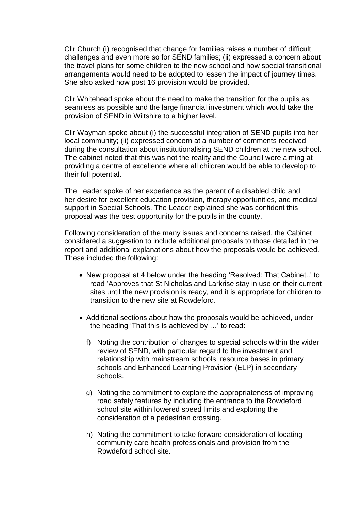Cllr Church (i) recognised that change for families raises a number of difficult challenges and even more so for SEND families; (ii) expressed a concern about the travel plans for some children to the new school and how special transitional arrangements would need to be adopted to lessen the impact of journey times. She also asked how post 16 provision would be provided.

Cllr Whitehead spoke about the need to make the transition for the pupils as seamless as possible and the large financial investment which would take the provision of SEND in Wiltshire to a higher level.

Cllr Wayman spoke about (i) the successful integration of SEND pupils into her local community; (ii) expressed concern at a number of comments received during the consultation about institutionalising SEND children at the new school. The cabinet noted that this was not the reality and the Council were aiming at providing a centre of excellence where all children would be able to develop to their full potential.

The Leader spoke of her experience as the parent of a disabled child and her desire for excellent education provision, therapy opportunities, and medical support in Special Schools. The Leader explained she was confident this proposal was the best opportunity for the pupils in the county.

Following consideration of the many issues and concerns raised, the Cabinet considered a suggestion to include additional proposals to those detailed in the report and additional explanations about how the proposals would be achieved. These included the following:

- New proposal at 4 below under the heading 'Resolved: That Cabinet..' to read 'Approves that St Nicholas and Larkrise stay in use on their current sites until the new provision is ready, and it is appropriate for children to transition to the new site at Rowdeford.
- Additional sections about how the proposals would be achieved, under the heading 'That this is achieved by …' to read:
	- f) Noting the contribution of changes to special schools within the wider review of SEND, with particular regard to the investment and relationship with mainstream schools, resource bases in primary schools and Enhanced Learning Provision (ELP) in secondary schools.
	- g) Noting the commitment to explore the appropriateness of improving road safety features by including the entrance to the Rowdeford school site within lowered speed limits and exploring the consideration of a pedestrian crossing.
	- h) Noting the commitment to take forward consideration of locating community care health professionals and provision from the Rowdeford school site.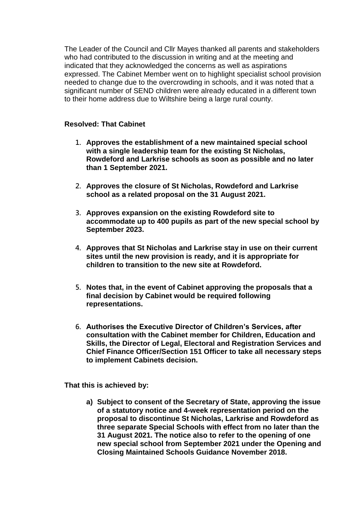The Leader of the Council and Cllr Mayes thanked all parents and stakeholders who had contributed to the discussion in writing and at the meeting and indicated that they acknowledged the concerns as well as aspirations expressed. The Cabinet Member went on to highlight specialist school provision needed to change due to the overcrowding in schools, and it was noted that a significant number of SEND children were already educated in a different town to their home address due to Wiltshire being a large rural county.

# **Resolved: That Cabinet**

- **1. Approves the establishment of a new maintained special school with a single leadership team for the existing St Nicholas, Rowdeford and Larkrise schools as soon as possible and no later than 1 September 2021.**
- **2. Approves the closure of St Nicholas, Rowdeford and Larkrise school as a related proposal on the 31 August 2021.**
- **3. Approves expansion on the existing Rowdeford site to accommodate up to 400 pupils as part of the new special school by September 2023.**
- **4. Approves that St Nicholas and Larkrise stay in use on their current sites until the new provision is ready, and it is appropriate for children to transition to the new site at Rowdeford.**
- **5. Notes that, in the event of Cabinet approving the proposals that a final decision by Cabinet would be required following representations.**
- **6. Authorises the Executive Director of Children's Services, after consultation with the Cabinet member for Children, Education and Skills, the Director of Legal, Electoral and Registration Services and Chief Finance Officer/Section 151 Officer to take all necessary steps to implement Cabinets decision.**

**That this is achieved by:**

**a) Subject to consent of the Secretary of State, approving the issue of a statutory notice and 4-week representation period on the proposal to discontinue St Nicholas, Larkrise and Rowdeford as three separate Special Schools with effect from no later than the 31 August 2021. The notice also to refer to the opening of one new special school from September 2021 under the Opening and Closing Maintained Schools Guidance November 2018.**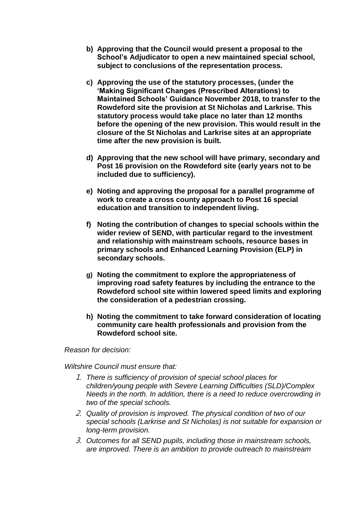- **b) Approving that the Council would present a proposal to the School's Adjudicator to open a new maintained special school, subject to conclusions of the representation process.**
- **c) Approving the use of the statutory processes, (under the 'Making Significant Changes (Prescribed Alterations) to Maintained Schools' Guidance November 2018, to transfer to the Rowdeford site the provision at St Nicholas and Larkrise. This statutory process would take place no later than 12 months before the opening of the new provision. This would result in the closure of the St Nicholas and Larkrise sites at an appropriate time after the new provision is built.**
- **d) Approving that the new school will have primary, secondary and Post 16 provision on the Rowdeford site (early years not to be included due to sufficiency).**
- **e) Noting and approving the proposal for a parallel programme of work to create a cross county approach to Post 16 special education and transition to independent living.**
- **f) Noting the contribution of changes to special schools within the wider review of SEND, with particular regard to the investment and relationship with mainstream schools, resource bases in primary schools and Enhanced Learning Provision (ELP) in secondary schools.**
- **g) Noting the commitment to explore the appropriateness of improving road safety features by including the entrance to the Rowdeford school site within lowered speed limits and exploring the consideration of a pedestrian crossing.**
- **h) Noting the commitment to take forward consideration of locating community care health professionals and provision from the Rowdeford school site.**

*Reason for decision:*

*Wiltshire Council must ensure that:*

- 1. *There is sufficiency of provision of special school places for children/young people with Severe Learning Difficulties (SLD)/Complex Needs in the north. In addition, there is a need to reduce overcrowding in two of the special schools.*
- 2. *Quality of provision is improved. The physical condition of two of our special schools (Larkrise and St Nicholas) is not suitable for expansion or long-term provision.*
- 3. *Outcomes for all SEND pupils, including those in mainstream schools, are improved. There is an ambition to provide outreach to mainstream*